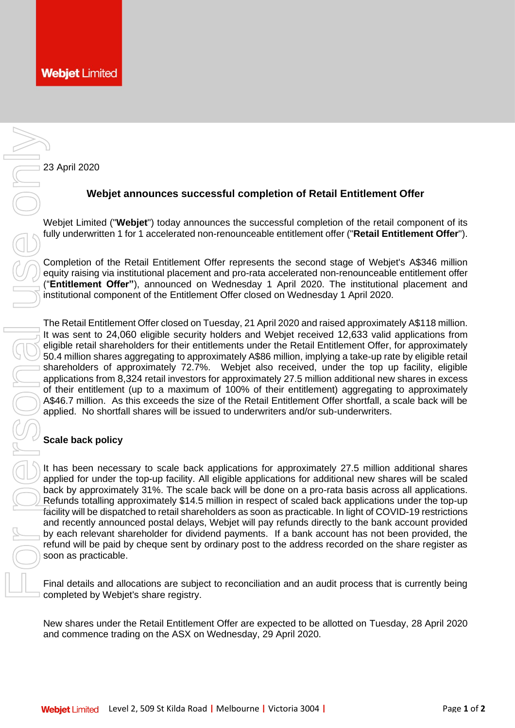23 April 2020

## **Webjet announces successful completion of Retail Entitlement Offer**

Webjet Limited ("**Webjet**") today announces the successful completion of the retail component of its fully underwritten 1 for 1 accelerated non-renounceable entitlement offer ("**Retail Entitlement Offer**").

Completion of the Retail Entitlement Offer represents the second stage of Webjet's A\$346 million equity raising via institutional placement and pro-rata accelerated non-renounceable entitlement offer ("**Entitlement Offer"**), announced on Wednesday 1 April 2020. The institutional placement and institutional component of the Entitlement Offer closed on Wednesday 1 April 2020.

The Retail Entitlement Offer closed on Tuesday, 21 April 2020 and raised approximately A\$118 million. It was sent to 24,060 eligible security holders and Webjet received 12,633 valid applications from eligible retail shareholders for their entitlements under the Retail Entitlement Offer, for approximately 50.4 million shares aggregating to approximately A\$86 million, implying a take-up rate by eligible retail shareholders of approximately 72.7%. Webjet also received, under the top up facility, eligible applications from 8,324 retail investors for approximately 27.5 million additional new shares in excess of their entitlement (up to a maximum of 100% of their entitlement) aggregating to approximately A\$46.7 million. As this exceeds the size of the Retail Entitlement Offer shortfall, a scale back will be applied. No shortfall shares will be issued to underwriters and/or sub-underwriters. and commence trading on the Retail Entitlement ("Webipt") today amounces the successful completion of the Netal Entitlement Offer represents the second of the Retail Entitlement Offer represents the second of the Retail En

## **Scale back policy**

It has been necessary to scale back applications for approximately 27.5 million additional shares applied for under the top-up facility. All eligible applications for additional new shares will be scaled back by approximately 31%. The scale back will be done on a pro-rata basis across all applications. Refunds totalling approximately \$14.5 million in respect of scaled back applications under the top-up facility will be dispatched to retail shareholders as soon as practicable. In light of COVID-19 restrictions and recently announced postal delays, Webjet will pay refunds directly to the bank account provided by each relevant shareholder for dividend payments. If a bank account has not been provided, the refund will be paid by cheque sent by ordinary post to the address recorded on the share register as soon as practicable.

Final details and allocations are subject to reconciliation and an audit process that is currently being completed by Webjet's share registry.

New shares under the Retail Entitlement Offer are expected to be allotted on Tuesday, 28 April 2020